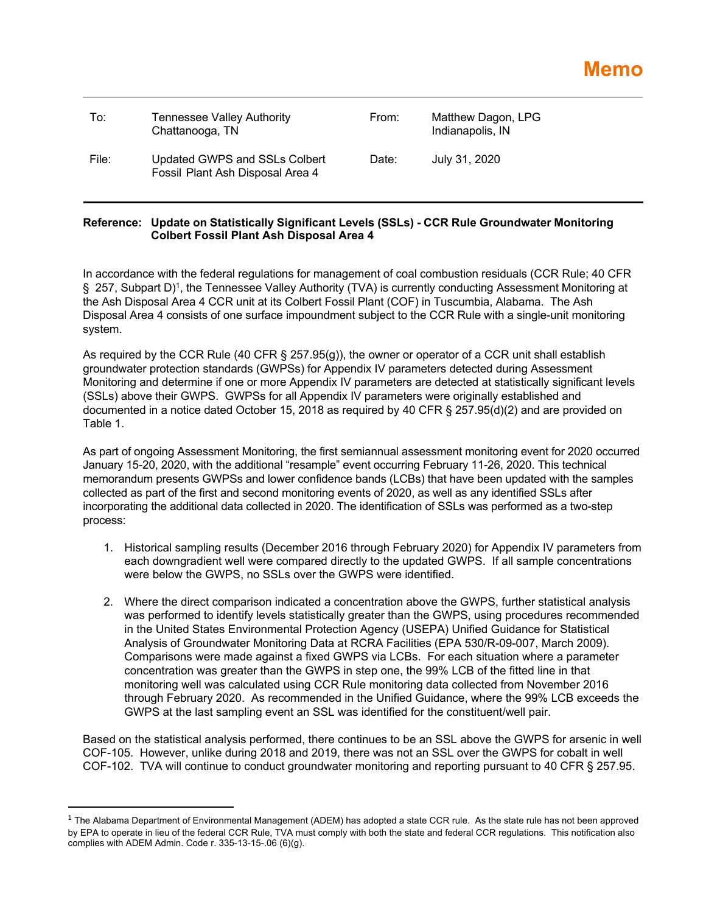| To:   | Tennessee Valley Authority<br>Chattanooga, TN                     | From: | Matthew Dagon, LPG<br>Indianapolis, IN |
|-------|-------------------------------------------------------------------|-------|----------------------------------------|
| File: | Updated GWPS and SSLs Colbert<br>Fossil Plant Ash Disposal Area 4 | Date: | July 31, 2020                          |

## **Reference: Update on Statistically Significant Levels (SSLs) - CCR Rule Groundwater Monitoring Colbert Fossil Plant Ash Disposal Area 4**

In accordance with the federal regulations for management of coal combustion residuals (CCR Rule; 40 CFR § 257, Subpart D)1, the Tennessee Valley Authority (TVA) is currently conducting Assessment Monitoring at the Ash Disposal Area 4 CCR unit at its Colbert Fossil Plant (COF) in Tuscumbia, Alabama. The Ash Disposal Area 4 consists of one surface impoundment subject to the CCR Rule with a single-unit monitoring system.

As required by the CCR Rule (40 CFR § 257.95(g)), the owner or operator of a CCR unit shall establish groundwater protection standards (GWPSs) for Appendix IV parameters detected during Assessment Monitoring and determine if one or more Appendix IV parameters are detected at statistically significant levels (SSLs) above their GWPS. GWPSs for all Appendix IV parameters were originally established and documented in a notice dated October 15, 2018 as required by 40 CFR § 257.95(d)(2) and are provided on Table 1.

As part of ongoing Assessment Monitoring, the first semiannual assessment monitoring event for 2020 occurred January 15-20, 2020, with the additional "resample" event occurring February 11-26, 2020. This technical memorandum presents GWPSs and lower confidence bands (LCBs) that have been updated with the samples collected as part of the first and second monitoring events of 2020, as well as any identified SSLs after incorporating the additional data collected in 2020. The identification of SSLs was performed as a two-step process:

- 1. Historical sampling results (December 2016 through February 2020) for Appendix IV parameters from each downgradient well were compared directly to the updated GWPS. If all sample concentrations were below the GWPS, no SSLs over the GWPS were identified.
- 2. Where the direct comparison indicated a concentration above the GWPS, further statistical analysis was performed to identify levels statistically greater than the GWPS, using procedures recommended in the United States Environmental Protection Agency (USEPA) Unified Guidance for Statistical Analysis of Groundwater Monitoring Data at RCRA Facilities (EPA 530/R-09-007, March 2009). Comparisons were made against a fixed GWPS via LCBs. For each situation where a parameter concentration was greater than the GWPS in step one, the 99% LCB of the fitted line in that monitoring well was calculated using CCR Rule monitoring data collected from November 2016 through February 2020. As recommended in the Unified Guidance, where the 99% LCB exceeds the GWPS at the last sampling event an SSL was identified for the constituent/well pair.

Based on the statistical analysis performed, there continues to be an SSL above the GWPS for arsenic in well COF-105. However, unlike during 2018 and 2019, there was not an SSL over the GWPS for cobalt in well COF-102. TVA will continue to conduct groundwater monitoring and reporting pursuant to 40 CFR § 257.95.

 $1$  The Alabama Department of Environmental Management (ADEM) has adopted a state CCR rule. As the state rule has not been approved by EPA to operate in lieu of the federal CCR Rule, TVA must comply with both the state and federal CCR regulations. This notification also complies with ADEM Admin. Code r. 335-13-15-.06 (6)(g).